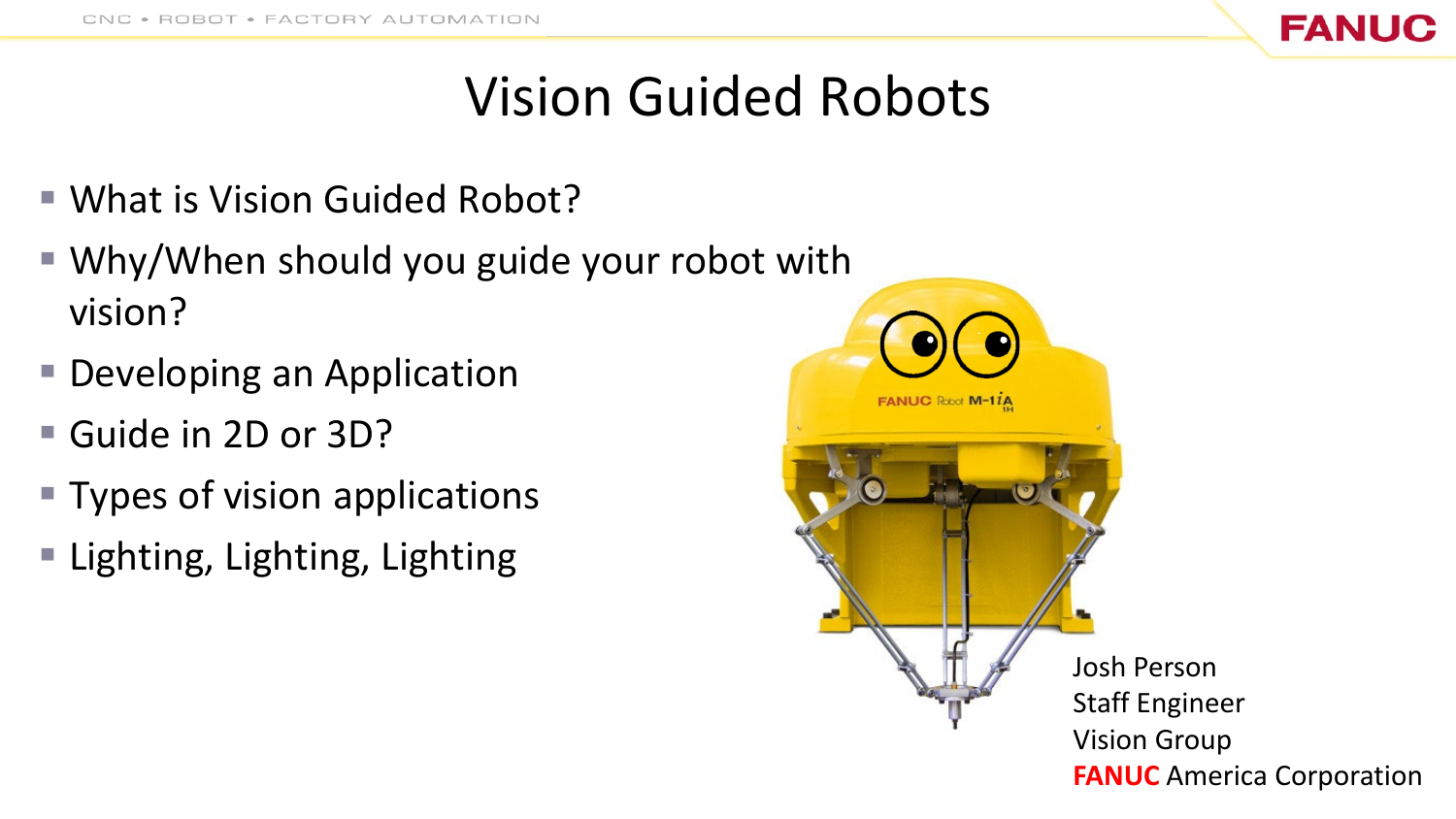

## Vision Guided Robots

- What is Vision Guided Robot?
- Why/When should you guide your robot with vision?
- Developing an Application
- Guide in 2D or 3D?
- Types of vision applications
- Lighting, Lighting, Lighting

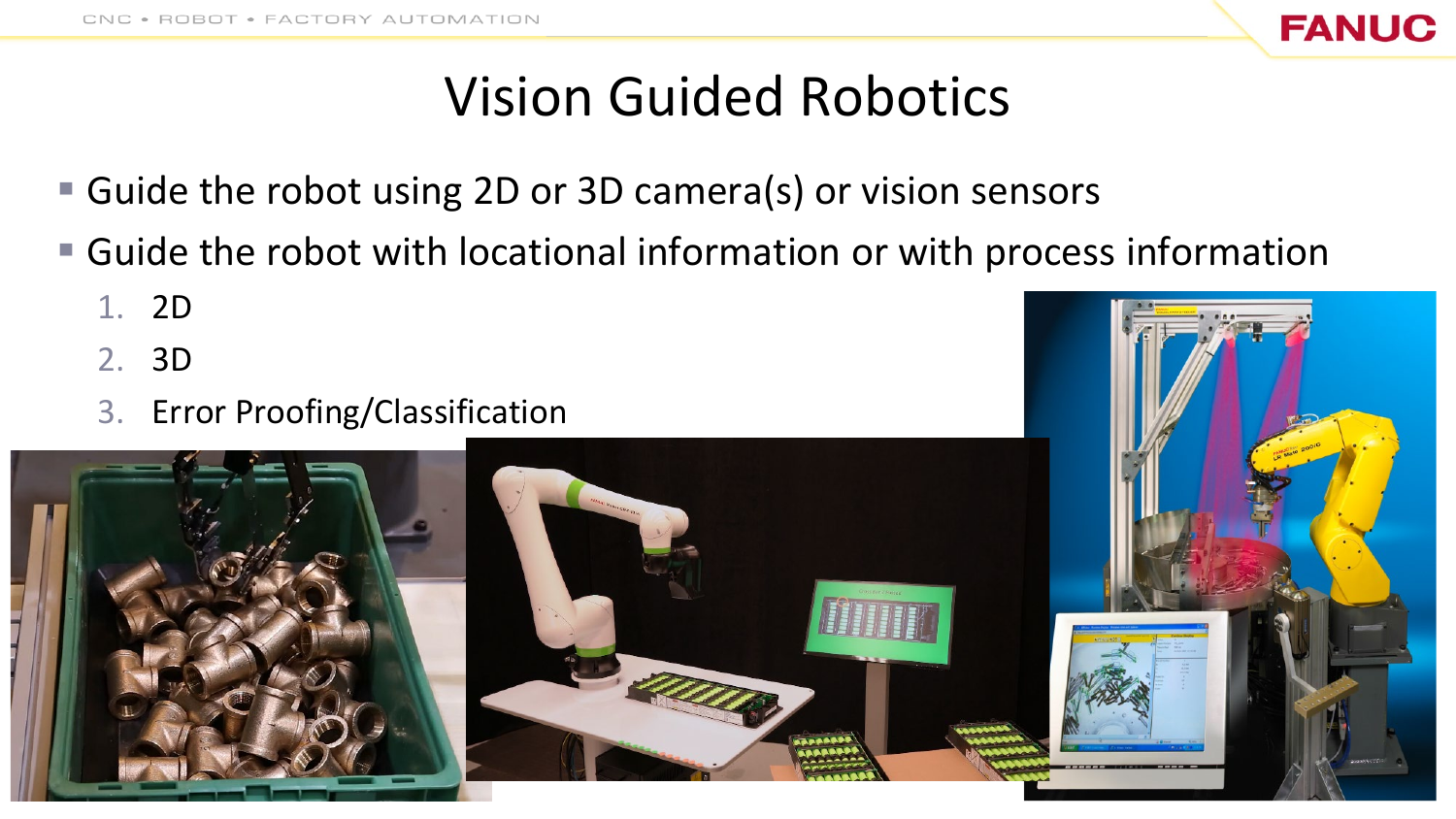

## Vision Guided Robotics

- Guide the robot using 2D or 3D camera(s) or vision sensors
- Guide the robot with locational information or with process information
	- 1. 2D
	- 2. 3D
	- 3. Error Proofing/Classification

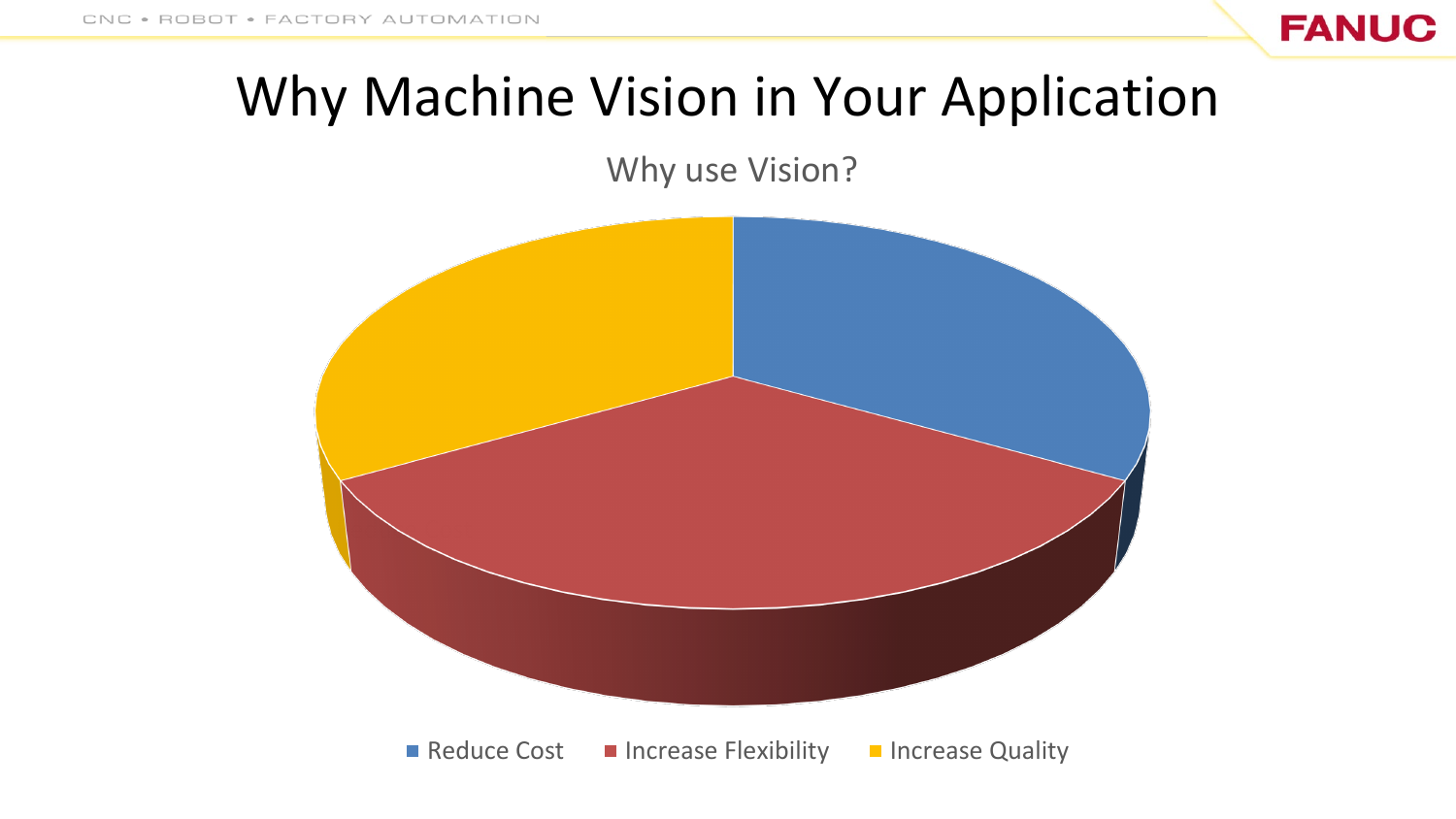

## Why Machine Vision in Your Application

#### Why use Vision?

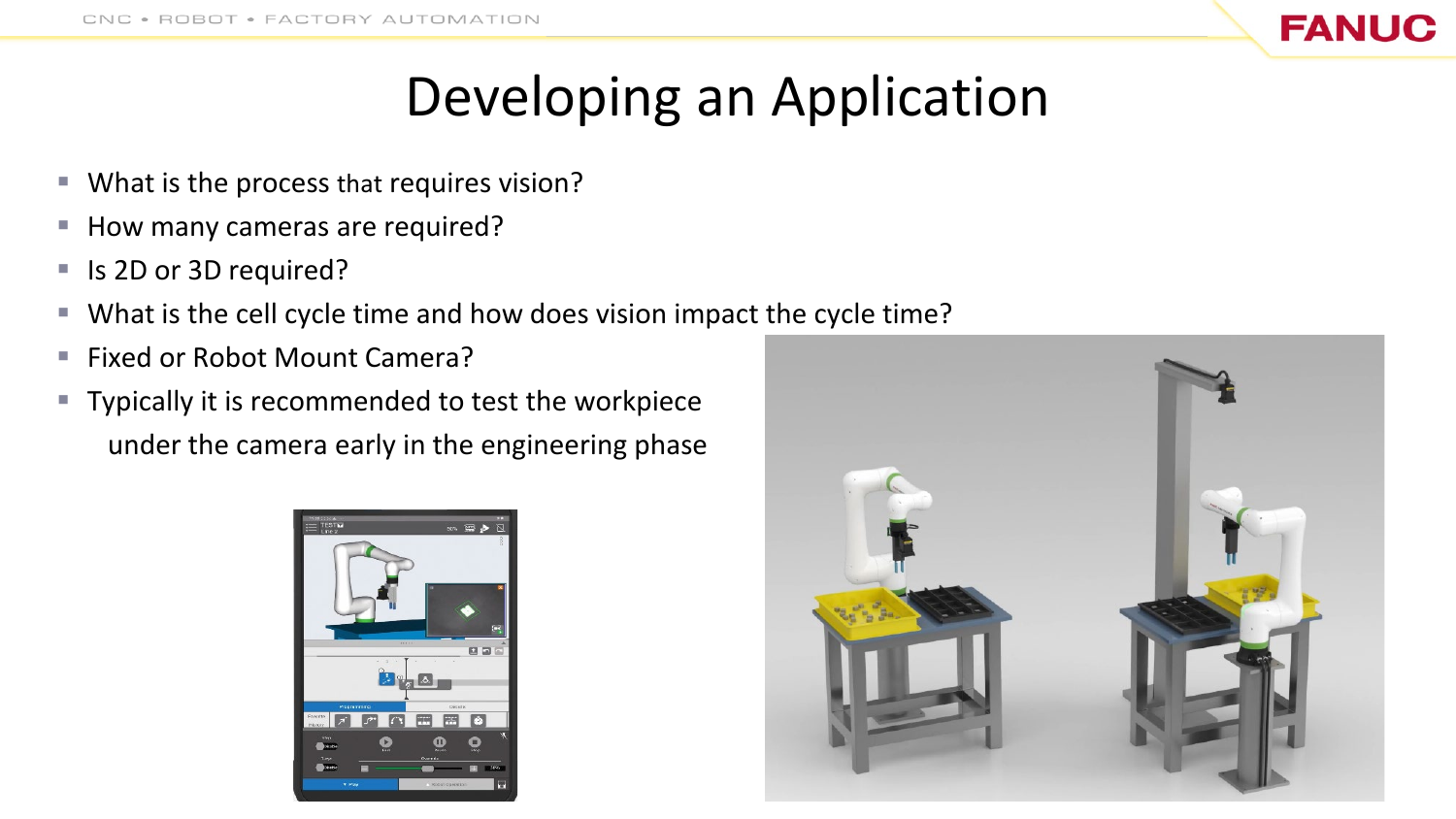

## Developing an Application

- What is the process that requires vision?
- How many cameras are required?
- Is 2D or 3D required?
- What is the cell cycle time and how does vision impact the cycle time?
- Fixed or Robot Mount Camera?
- **Typically it is recommended to test the workpiece** under the camera early in the engineering phase



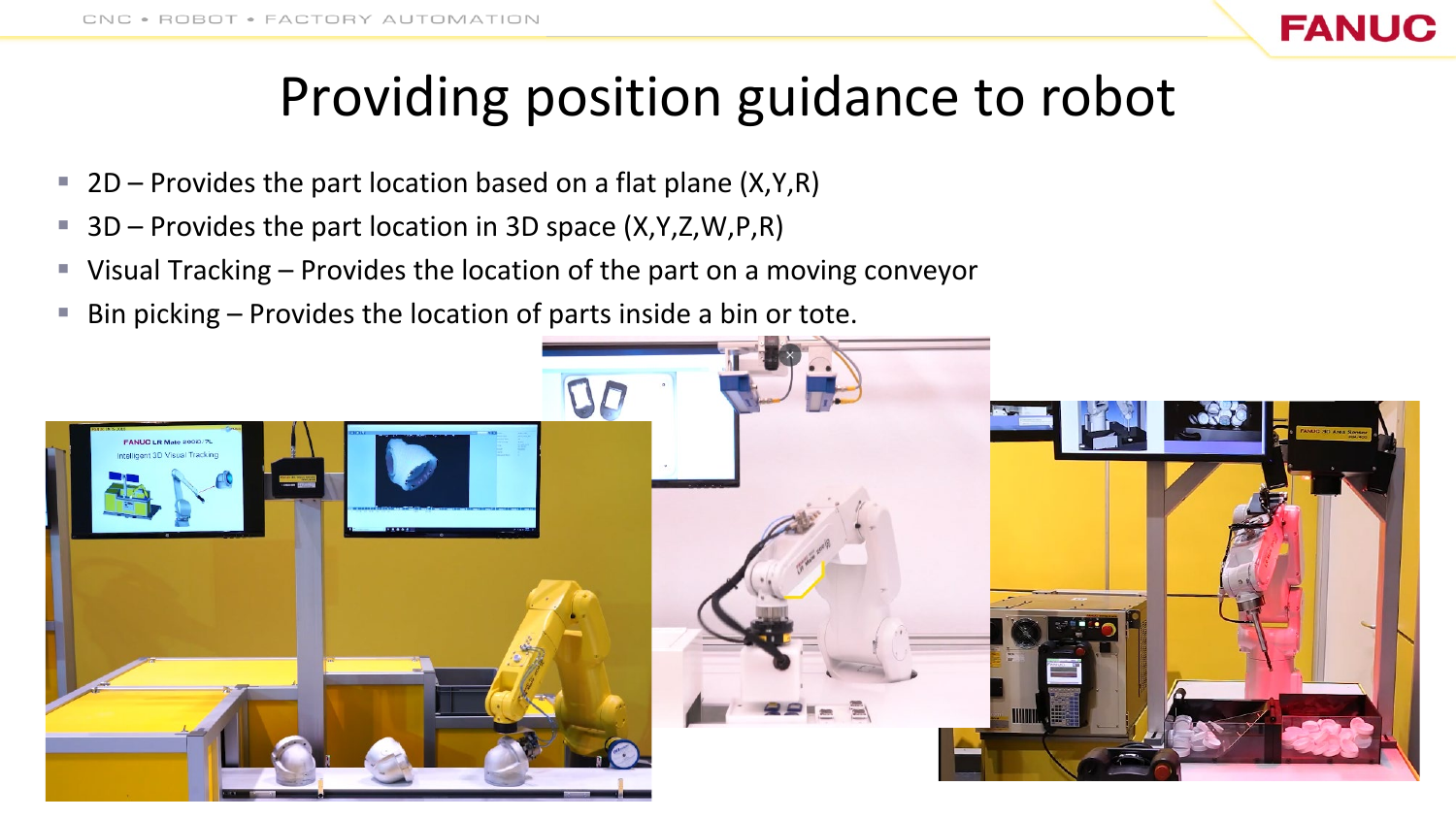## Providing position guidance to robot

**FANUC** 

- **2D** Provides the part location based on a flat plane  $(X,Y,R)$
- 3D Provides the part location in 3D space (X,Y,Z,W,P,R)
- Visual Tracking Provides the location of the part on a moving conveyor
- Bin picking Provides the location of parts inside a bin or tote.

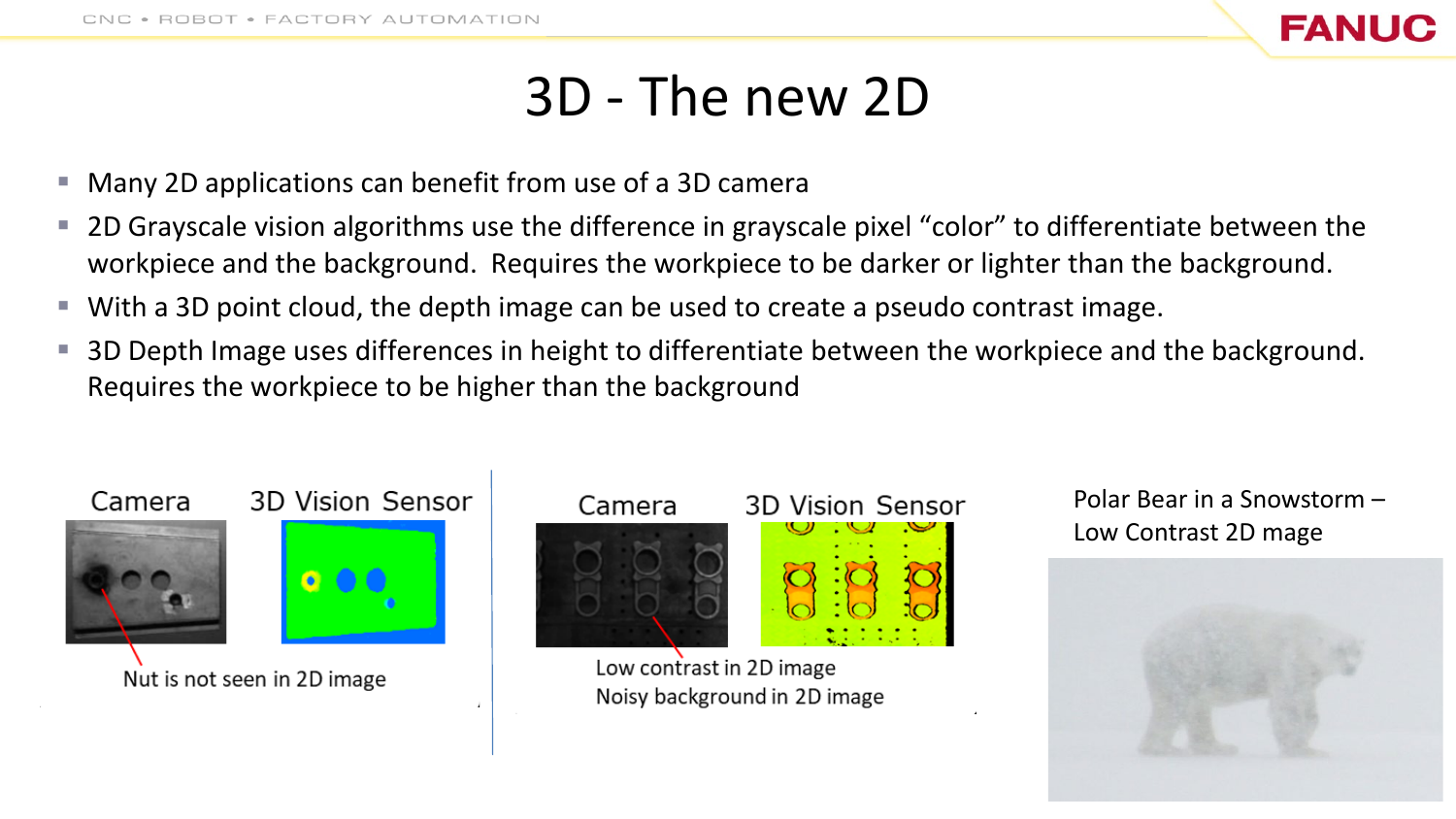

### 3D - The new 2D

- Many 2D applications can benefit from use of a 3D camera
- 2D Grayscale vision algorithms use the difference in grayscale pixel "color" to differentiate between the workpiece and the background. Requires the workpiece to be darker or lighter than the background.
- With a 3D point cloud, the depth image can be used to create a pseudo contrast image.
- 3D Depth Image uses differences in height to differentiate between the workpiece and the background. Requires the workpiece to be higher than the background





Low contrast in 2D image Noisy background in 2D image

#### Polar Bear in a Snowstorm – Low Contrast 2D mage

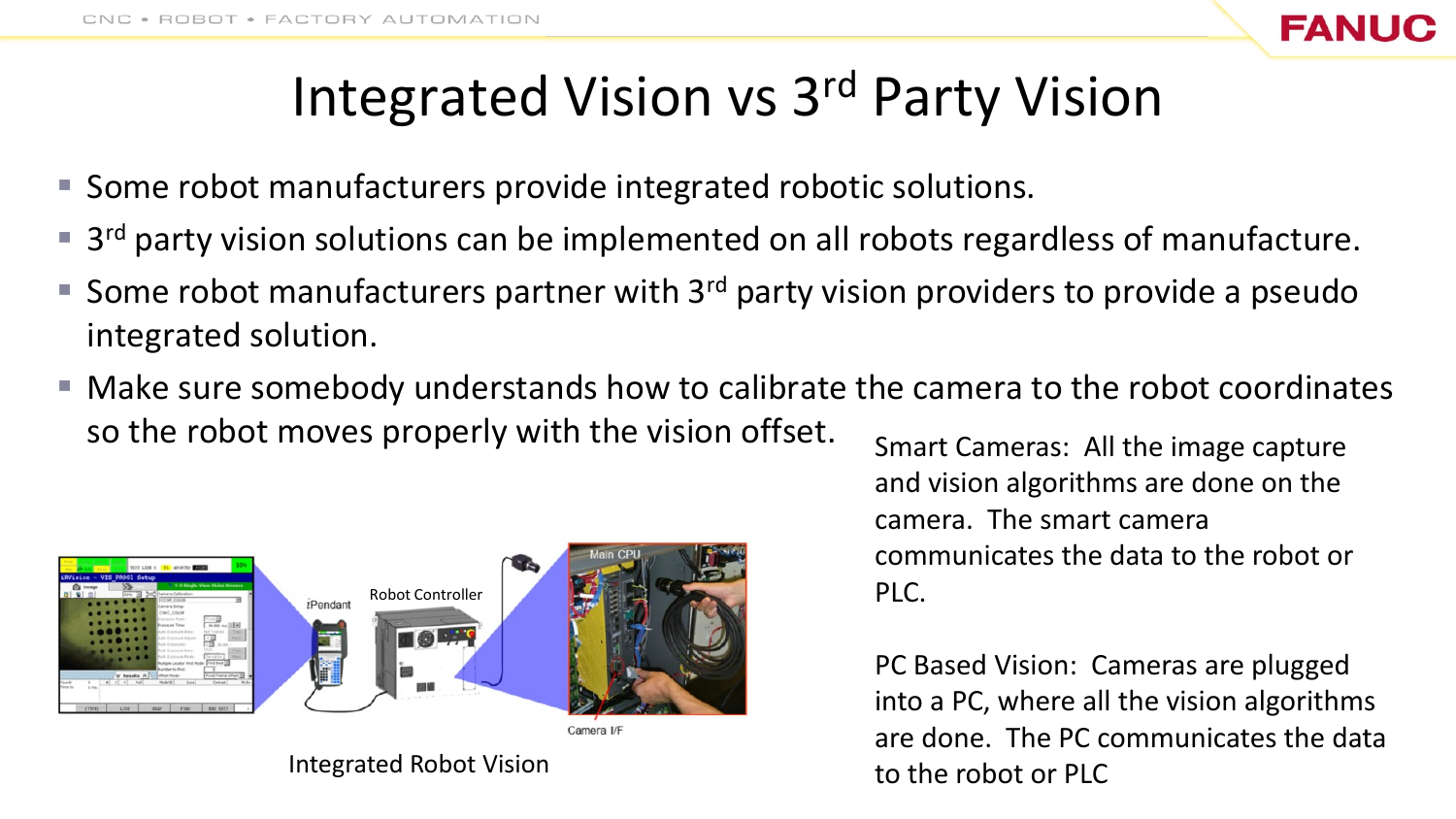

## Integrated Vision vs 3rd Party Vision

- Some robot manufacturers provide integrated robotic solutions.
- $\blacksquare$  3<sup>rd</sup> party vision solutions can be implemented on all robots regardless of manufacture.
- Some robot manufacturers partner with  $3<sup>rd</sup>$  party vision providers to provide a pseudo integrated solution.
- Make sure somebody understands how to calibrate the camera to the robot coordinates so the robot moves properly with the vision offset.



Integrated Robot Vision

Smart Cameras: All the image capture and vision algorithms are done on the camera. The smart camera communicates the data to the robot or PLC.

PC Based Vision: Cameras are plugged into a PC, where all the vision algorithms are done. The PC communicates the data to the robot or PLC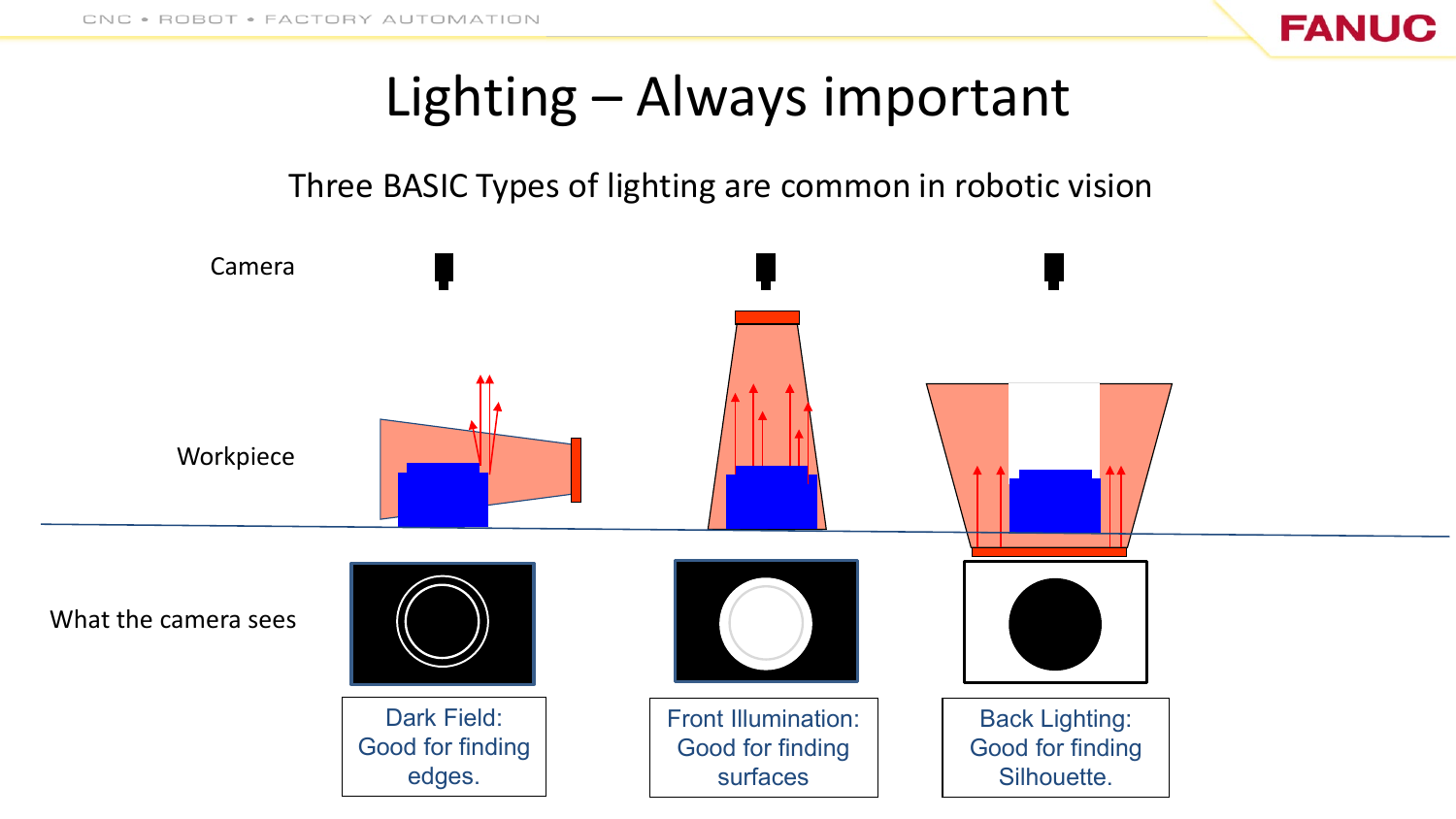

## Lighting – Always important

#### Three BASIC Types of lighting are common in robotic vision

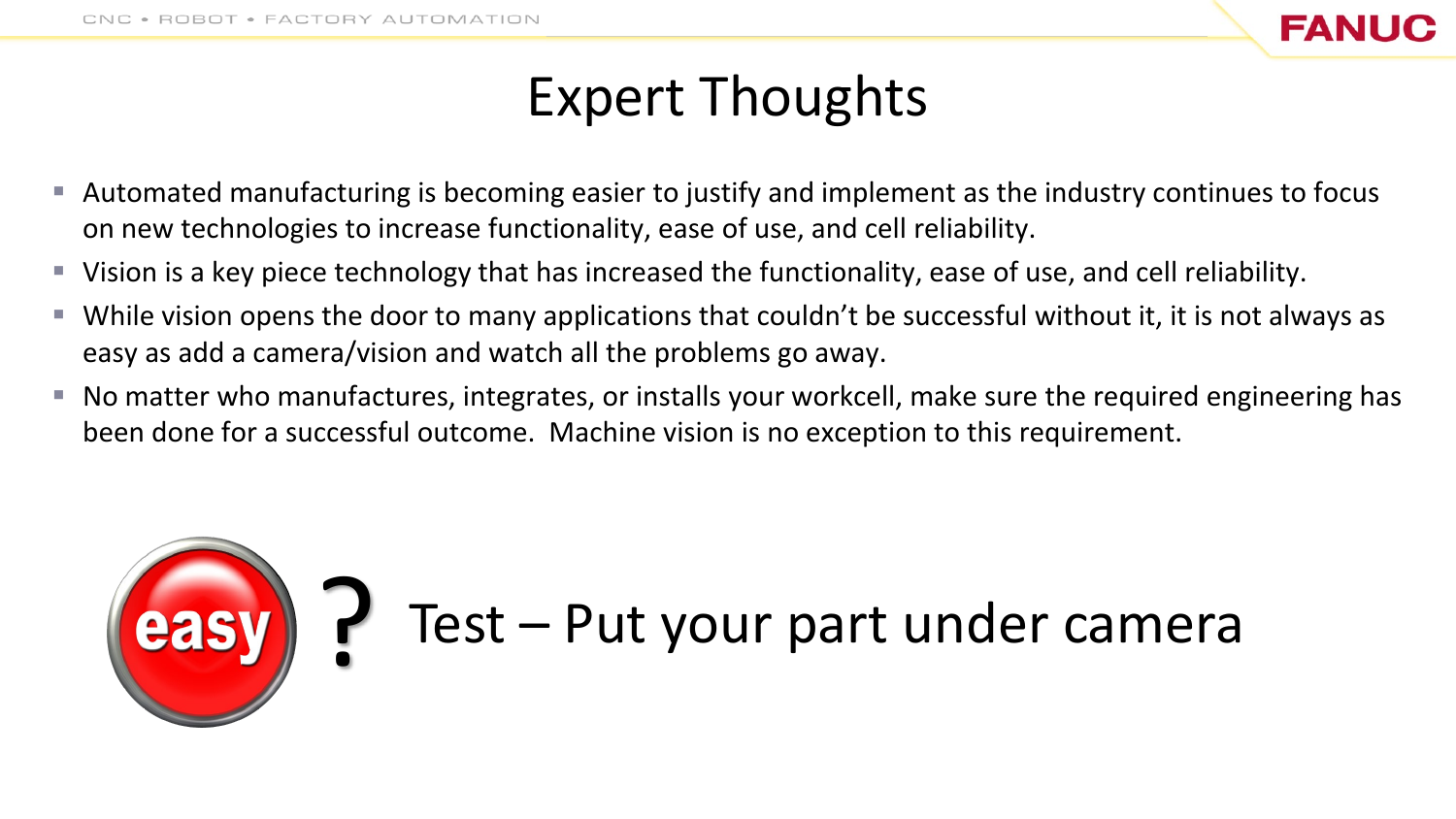

## Expert Thoughts

- Automated manufacturing is becoming easier to justify and implement as the industry continues to focus on new technologies to increase functionality, ease of use, and cell reliability.
- Vision is a key piece technology that has increased the functionality, ease of use, and cell reliability.
- $\blacksquare$  While vision opens the door to many applications that couldn't be successful without it, it is not always as easy as add a camera/vision and watch all the problems go away.
- $\blacksquare$  No matter who manufactures, integrates, or installs your workcell, make sure the required engineering has been done for a successful outcome. Machine vision is no exception to this requirement.

# ? Test – Put your part under camera